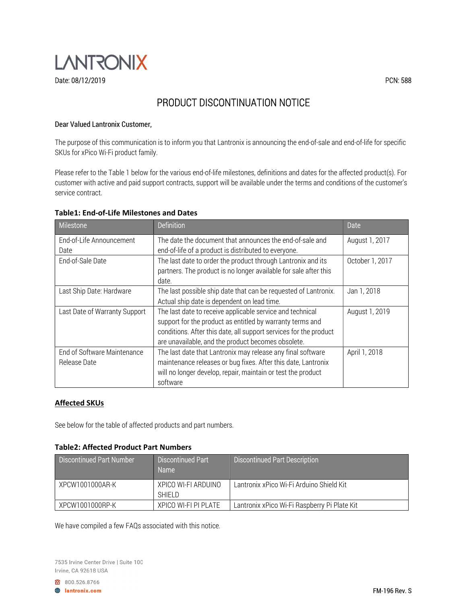

# PRODUCT DISCONTINUATION NOTICE

## Dear Valued Lantronix Customer,

The purpose of this communication is to inform you that Lantronix is announcing the end-of-sale and end-of-life for specific SKUs for xPico Wi-Fi product family.

Please refer to the Table 1 below for the various end-of-life milestones, definitions and dates for the affected product(s). For customer with active and paid support contracts, support will be available under the terms and conditions of the customer's service contract.

## Table1: End-of-Life Milestones and Dates

| Milestone                                   | <b>Definition</b>                                                                                                                                                                                                                                                   | Date            |
|---------------------------------------------|---------------------------------------------------------------------------------------------------------------------------------------------------------------------------------------------------------------------------------------------------------------------|-----------------|
| End-of-Life Announcement                    | The date the document that announces the end-of-sale and                                                                                                                                                                                                            | August 1, 2017  |
| Date                                        | end-of-life of a product is distributed to everyone.                                                                                                                                                                                                                |                 |
| End-of-Sale Date                            | The last date to order the product through Lantronix and its<br>partners. The product is no longer available for sale after this                                                                                                                                    | October 1, 2017 |
|                                             | date.                                                                                                                                                                                                                                                               |                 |
| Last Ship Date: Hardware                    | The last possible ship date that can be requested of Lantronix.<br>Actual ship date is dependent on lead time.                                                                                                                                                      | Jan 1, 2018     |
| Last Date of Warranty Support               | The last date to receive applicable service and technical<br>August 1, 2019<br>support for the product as entitled by warranty terms and<br>conditions. After this date, all support services for the product<br>are unavailable, and the product becomes obsolete. |                 |
| End of Software Maintenance<br>Release Date | The last date that Lantronix may release any final software<br>maintenance releases or bug fixes. After this date, Lantronix<br>will no longer develop, repair, maintain or test the product<br>software                                                            | April 1, 2018   |

### Affected SKUs

See below for the table of affected products and part numbers.

### Table2: Affected Product Part Numbers

| <b>Discontinued Part Number</b> | <b>Discontinued Part</b><br><b>Name</b> | <b>Discontinued Part Description</b>         |
|---------------------------------|-----------------------------------------|----------------------------------------------|
| XPCW1001000AR-K                 | XPICO WI-FI ARDUINO<br>SHIFI D          | Lantronix xPico Wi-Fi Arduino Shield Kit     |
| XPCW1001000RP-K                 | XPICO WI-FI PI PLATE                    | Lantronix xPico Wi-Fi Raspberry Pi Plate Kit |

We have compiled a few FAQs associated with this notice.

7535 Irvine Center Drive | Suite 100 Irvine, CA 92618 USA

800.526.8766

**A** lantronix.com